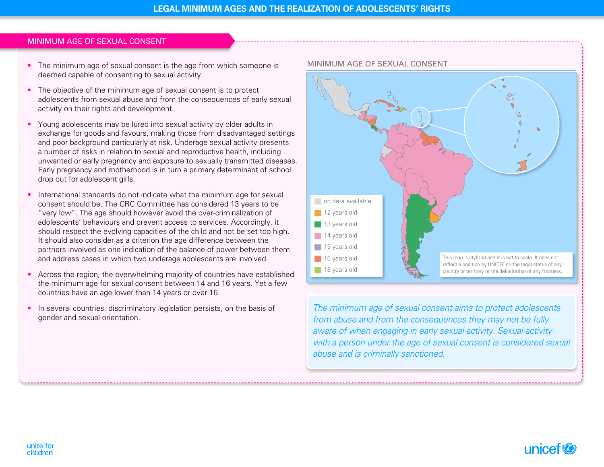## Minimum age of sexual consent

- The minimum age of sexual consent is the age from which someone is deemed capable of consenting to sexual activity.
- The objective of the minimum age of sexual consent is to protect adolescents from sexual abuse and from the consequences of early sexual activity on their rights and development.
- Young adolescents may be lured into sexual activity by older adults in exchange for goods and favours, making those from disadvantaged settings and poor background particularly at risk. Underage sexual activity presents a number of risks in relation to sexual and reproductive health, including unwanted or early pregnancy and exposure to sexually transmitted diseases. Early pregnancy and motherhood is in turn a primary determinant of school drop out for adolescent girls.
- International standards do not indicate what the minimum age for sexual consent should be. The CRC Committee has considered 13 years to be "very low". The age should however avoid the over-criminalization of adolescents' behaviours and prevent access to services. Accordingly, it should respect the evolving capacities of the child and not be set too high. It should also consider as a criterion the age difference between the partners involved as one indication of the balance of power between them and address cases in which two underage adolescents are involved.
- Across the region, the overwhelming majority of countries have established the minimum age for sexual consent between 14 and 16 years. Yet a few countries have an age lower than 14 years or over 16.
- In several countries, discriminatory legislation persists, on the basis of gender and sexual orientation.



*The minimum age of sexual consent aims to protect adolescents from abuse and from the consequences they may not be fully aware of when engaging in early sexual activity. Sexual activity with a person under the age of sexual consent is considered sexual abuse and is criminally sanctioned.*

#### unite for children

# unicef